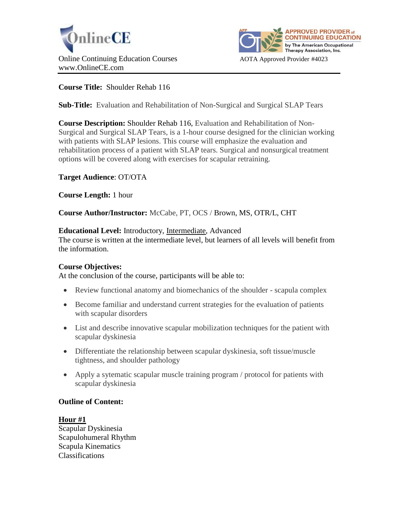



# **Course Title:** Shoulder Rehab 116

**Sub-Title:** Evaluation and Rehabilitation of Non-Surgical and Surgical SLAP Tears

**Course Description:** Shoulder Rehab 116, Evaluation and Rehabilitation of Non-Surgical and Surgical SLAP Tears, is a 1-hour course designed for the clinician working with patients with SLAP lesions. This course will emphasize the evaluation and rehabilitation process of a patient with SLAP tears. Surgical and nonsurgical treatment options will be covered along with exercises for scapular retraining.

# **Target Audience**: OT/OTA

**Course Length:** 1 hour

**Course Author/Instructor:** McCabe, PT, OCS / Brown, MS, OTR/L, CHT

#### **Educational Level:** Introductory, Intermediate, Advanced

The course is written at the intermediate level, but learners of all levels will benefit from the information.

#### **Course Objectives:**

At the conclusion of the course, participants will be able to:

- Review functional anatomy and biomechanics of the shoulder scapula complex
- Become familiar and understand current strategies for the evaluation of patients with scapular disorders
- List and describe innovative scapular mobilization techniques for the patient with scapular dyskinesia
- Differentiate the relationship between scapular dyskinesia, soft tissue/muscle tightness, and shoulder pathology
- Apply a sytematic scapular muscle training program / protocol for patients with scapular dyskinesia

#### **Outline of Content:**

#### **Hour #1**

Scapular Dyskinesia Scapulohumeral Rhythm Scapula Kinematics Classifications